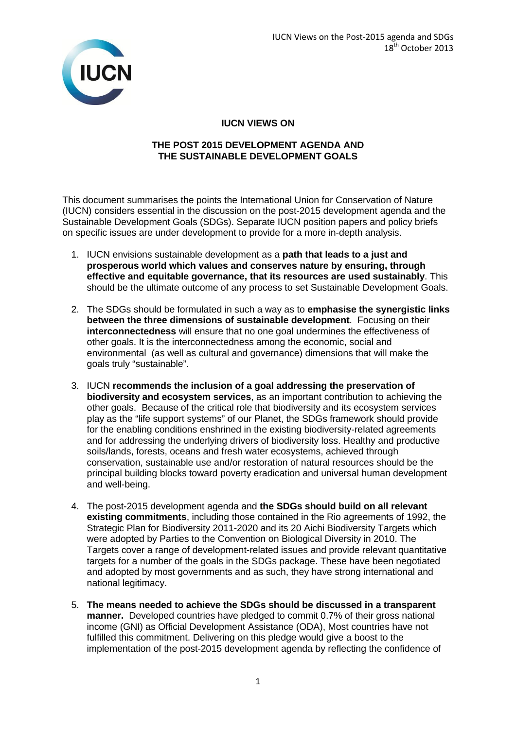

## **IUCN VIEWS ON**

## **THE POST 2015 DEVELOPMENT AGENDA AND THE SUSTAINABLE DEVELOPMENT GOALS**

This document summarises the points the International Union for Conservation of Nature (IUCN) considers essential in the discussion on the post-2015 development agenda and the Sustainable Development Goals (SDGs). Separate IUCN position papers and policy briefs on specific issues are under development to provide for a more in-depth analysis.

- 1. IUCN envisions sustainable development as a **path that leads to a just and prosperous world which values and conserves nature by ensuring, through effective and equitable governance, that its resources are used sustainably**. This should be the ultimate outcome of any process to set Sustainable Development Goals.
- 2. The SDGs should be formulated in such a way as to **emphasise the synergistic links between the three dimensions of sustainable development**. Focusing on their **interconnectedness** will ensure that no one goal undermines the effectiveness of other goals. It is the interconnectedness among the economic, social and environmental (as well as cultural and governance) dimensions that will make the goals truly "sustainable".
- 3. IUCN **recommends the inclusion of a goal addressing the preservation of biodiversity and ecosystem services**, as an important contribution to achieving the other goals. Because of the critical role that biodiversity and its ecosystem services play as the "life support systems" of our Planet, the SDGs framework should provide for the enabling conditions enshrined in the existing biodiversity-related agreements and for addressing the underlying drivers of biodiversity loss. Healthy and productive soils/lands, forests, oceans and fresh water ecosystems, achieved through conservation, sustainable use and/or restoration of natural resources should be the principal building blocks toward poverty eradication and universal human development and well-being.
- 4. The post-2015 development agenda and **the SDGs should build on all relevant existing commitments**, including those contained in the Rio agreements of 1992, the Strategic Plan for Biodiversity 2011-2020 and its 20 Aichi Biodiversity Targets which were adopted by Parties to the Convention on Biological Diversity in 2010. The Targets cover a range of development-related issues and provide relevant quantitative targets for a number of the goals in the SDGs package. These have been negotiated and adopted by most governments and as such, they have strong international and national legitimacy.
- 5. **The means needed to achieve the SDGs should be discussed in a transparent manner.** Developed countries have pledged to commit 0.7% of their gross national income (GNI) as Official Development Assistance (ODA), Most countries have not fulfilled this commitment. Delivering on this pledge would give a boost to the implementation of the post-2015 development agenda by reflecting the confidence of